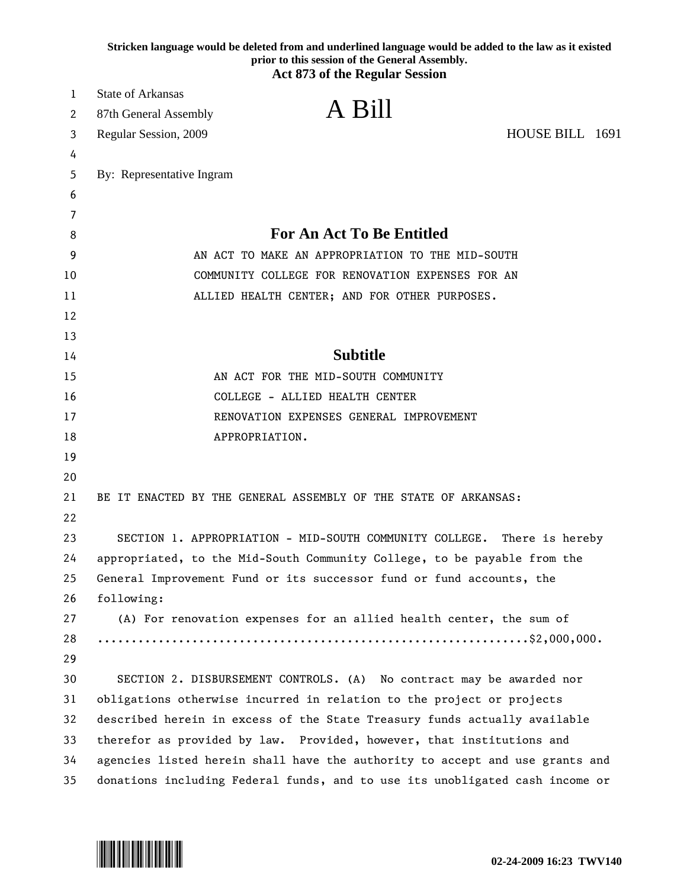|          | Stricken language would be deleted from and underlined language would be added to the law as it existed<br>prior to this session of the General Assembly.<br><b>Act 873 of the Regular Session</b> |
|----------|----------------------------------------------------------------------------------------------------------------------------------------------------------------------------------------------------|
| 1        | <b>State of Arkansas</b>                                                                                                                                                                           |
| 2        | A Bill<br>87th General Assembly                                                                                                                                                                    |
| 3        | HOUSE BILL 1691<br>Regular Session, 2009                                                                                                                                                           |
| 4        |                                                                                                                                                                                                    |
| 5        | By: Representative Ingram                                                                                                                                                                          |
| 6        |                                                                                                                                                                                                    |
| 7        |                                                                                                                                                                                                    |
| 8        | <b>For An Act To Be Entitled</b>                                                                                                                                                                   |
| 9        | AN ACT TO MAKE AN APPROPRIATION TO THE MID-SOUTH                                                                                                                                                   |
| 10       | COMMUNITY COLLEGE FOR RENOVATION EXPENSES FOR AN                                                                                                                                                   |
| 11       | ALLIED HEALTH CENTER; AND FOR OTHER PURPOSES.                                                                                                                                                      |
| 12       |                                                                                                                                                                                                    |
| 13       |                                                                                                                                                                                                    |
| 14       | <b>Subtitle</b>                                                                                                                                                                                    |
| 15       | AN ACT FOR THE MID-SOUTH COMMUNITY                                                                                                                                                                 |
| 16       | COLLEGE - ALLIED HEALTH CENTER                                                                                                                                                                     |
| 17       | RENOVATION EXPENSES GENERAL IMPROVEMENT                                                                                                                                                            |
| 18       | APPROPRIATION.                                                                                                                                                                                     |
| 19       |                                                                                                                                                                                                    |
| 20       |                                                                                                                                                                                                    |
| 21       | BE IT ENACTED BY THE GENERAL ASSEMBLY OF THE STATE OF ARKANSAS:                                                                                                                                    |
| 22       |                                                                                                                                                                                                    |
| 23<br>24 | SECTION 1. APPROPRIATION - MID-SOUTH COMMUNITY COLLEGE.<br>There is hereby                                                                                                                         |
| 25       | appropriated, to the Mid-South Community College, to be payable from the                                                                                                                           |
| 26       | General Improvement Fund or its successor fund or fund accounts, the<br>following:                                                                                                                 |
| 27       | (A) For renovation expenses for an allied health center, the sum of                                                                                                                                |
| 28       |                                                                                                                                                                                                    |
| 29       |                                                                                                                                                                                                    |
| 30       | SECTION 2. DISBURSEMENT CONTROLS. (A) No contract may be awarded nor                                                                                                                               |
| 31       | obligations otherwise incurred in relation to the project or projects                                                                                                                              |
| 32       | described herein in excess of the State Treasury funds actually available                                                                                                                          |
| 33       | therefor as provided by law. Provided, however, that institutions and                                                                                                                              |
| 34       | agencies listed herein shall have the authority to accept and use grants and                                                                                                                       |
| 35       | donations including Federal funds, and to use its unobligated cash income or                                                                                                                       |